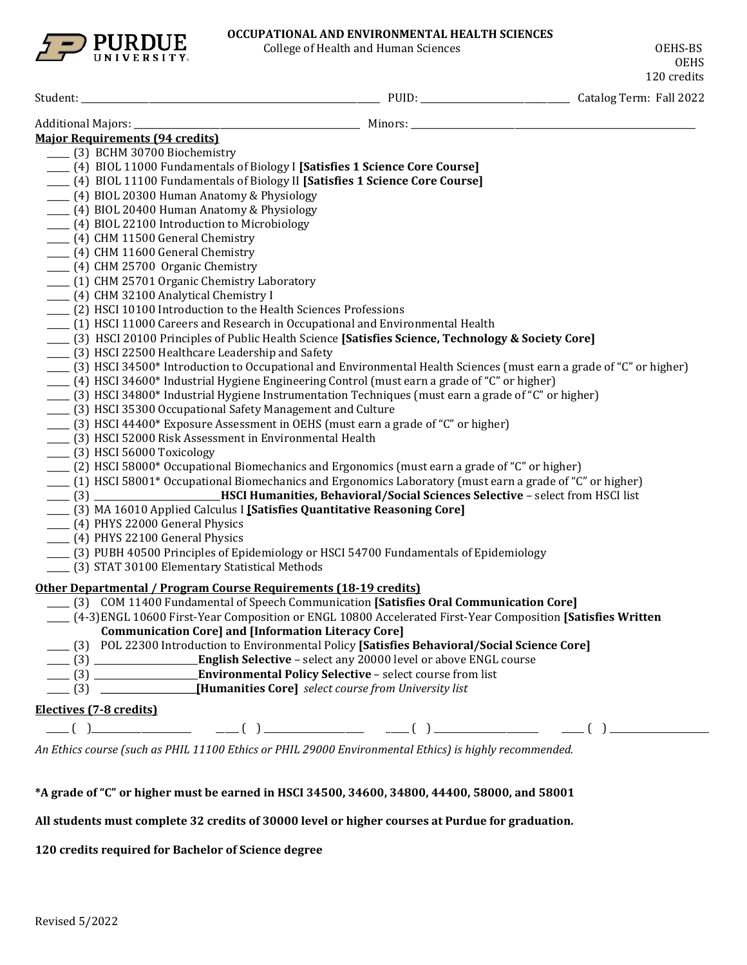

College of Health and Human Sciences **COLLEGATES** OEHS-BS

| <b>Major Requirements (94 credits)</b>                                                                              |  |
|---------------------------------------------------------------------------------------------------------------------|--|
| ___ (3) BCHM 30700 Biochemistry                                                                                     |  |
| [4] BIOL 11000 Fundamentals of Biology I [Satisfies 1 Science Core Course]                                          |  |
| [4] BIOL 11100 Fundamentals of Biology II [Satisfies 1 Science Core Course]                                         |  |
| ___ (4) BIOL 20300 Human Anatomy & Physiology                                                                       |  |
| ___ (4) BIOL 20400 Human Anatomy & Physiology                                                                       |  |
| (4) BIOL 22100 Introduction to Microbiology                                                                         |  |
| ____ (4) CHM 11500 General Chemistry                                                                                |  |
| ____ (4) CHM 11600 General Chemistry                                                                                |  |
| ____ (4) CHM 25700 Organic Chemistry                                                                                |  |
| ____ (1) CHM 25701 Organic Chemistry Laboratory                                                                     |  |
| ___ (4) CHM 32100 Analytical Chemistry I                                                                            |  |
| [2] HSCI 10100 Introduction to the Health Sciences Professions                                                      |  |
| (1) HSCI 11000 Careers and Research in Occupational and Environmental Health                                        |  |
| [3] HSCI 20100 Principles of Public Health Science [Satisfies Science, Technology & Society Core]                   |  |
| ____ (3) HSCI 22500 Healthcare Leadership and Safety                                                                |  |
| [3] HSCI 34500* Introduction to Occupational and Environmental Health Sciences (must earn a grade of "C" or higher) |  |
| (4) HSCI 34600* Industrial Hygiene Engineering Control (must earn a grade of "C" or higher)                         |  |
| [3] HSCI 34800* Industrial Hygiene Instrumentation Techniques (must earn a grade of "C" or higher)                  |  |
| [3] HSCI 35300 Occupational Safety Management and Culture                                                           |  |
| [3] HSCI 44400* Exposure Assessment in OEHS (must earn a grade of "C" or higher)                                    |  |
| ___ (3) HSCI 52000 Risk Assessment in Environmental Health                                                          |  |
| ___ (3) HSCI 56000 Toxicology                                                                                       |  |
| (2) HSCI 58000* Occupational Biomechanics and Ergonomics (must earn a grade of "C" or higher)                       |  |
| (1) HSCI 58001* Occupational Biomechanics and Ergonomics Laboratory (must earn a grade of "C" or higher)            |  |
| [3] HSCI Humanities, Behavioral/Social Sciences Selective - select from HSCI list                                   |  |
| [3] MA 16010 Applied Calculus I [Satisfies Quantitative Reasoning Core]                                             |  |
| ___ (4) PHYS 22000 General Physics                                                                                  |  |
| ___ (4) PHYS 22100 General Physics                                                                                  |  |
| [3] PUBH 40500 Principles of Epidemiology or HSCI 54700 Fundamentals of Epidemiology                                |  |
| [3] STAT 30100 Elementary Statistical Methods                                                                       |  |
| Other Departmental / Program Course Requirements (18-19 credits)                                                    |  |
| [3] COM 11400 Fundamental of Speech Communication [Satisfies Oral Communication Core]                               |  |
| (4-3)ENGL 10600 First-Year Composition or ENGL 10800 Accelerated First-Year Composition [Satisfies Written          |  |
| <b>Communication Core] and [Information Literacy Core]</b>                                                          |  |
| [3] POL 22300 Introduction to Environmental Policy [Satisfies Behavioral/Social Science Core]                       |  |
| [3] English Selective - select any 20000 level or above ENGL course                                                 |  |
| [3] Environmental Policy Selective - select course from list                                                        |  |
| (3) [Humanities Core] select course from University list                                                            |  |
| Electives (7-8 credits)                                                                                             |  |
|                                                                                                                     |  |
|                                                                                                                     |  |

*An Ethics course (such as PHIL 11100 Ethics or PHIL 29000 Environmental Ethics) is highly recommended.*

**\*A grade of "C" or higher must be earned in HSCI 34500, 34600, 34800, 44400, 58000, and 58001**

**All students must complete 32 credits of 30000 level or higher courses at Purdue for graduation.**

**120 credits required for Bachelor of Science degree**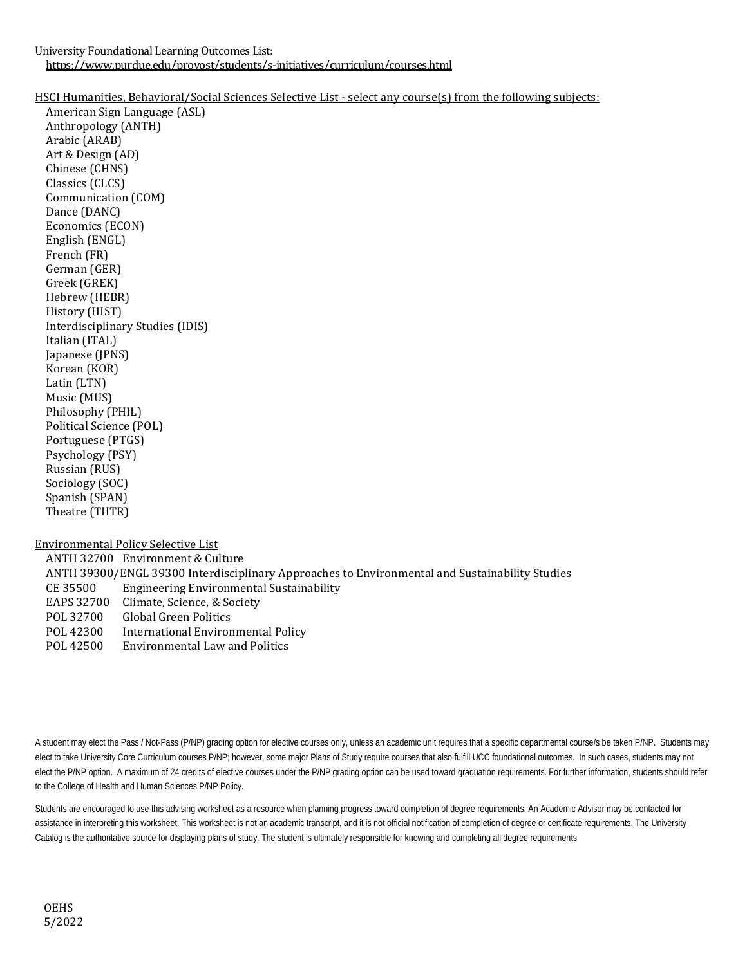University Foundational Learning Outcomes List: https://www.purdue.edu/provost/students/s-initiatives/curriculum/courses.html

## HSCI Humanities, Behavioral/Social Sciences Selective List - select any course(s) from the following subjects:

American Sign Language (ASL) Anthropology (ANTH) Arabic (ARAB) Art & Design (AD) Chinese (CHNS) Classics (CLCS) Communication (COM) Dance (DANC) Economics (ECON) English (ENGL) French (FR) German (GER) Greek (GREK) Hebrew (HEBR) History (HIST) Interdisciplinary Studies (IDIS) Italian (ITAL) Japanese (JPNS) Korean (KOR) Latin (LTN) Music (MUS) Philosophy (PHIL) Political Science (POL) Portuguese (PTGS) Psychology (PSY) Russian (RUS) Sociology (SOC) Spanish (SPAN) Theatre (THTR) Environmental Policy Selective List

ANTH 32700 Environment & Culture ANTH 39300/ENGL 39300 Interdisciplinary Approaches to Environmental and Sustainability Studies<br>CE 35500 Engineering Environmental Sustainability CE 35500 Engineering Environmental Sustainability EAPS 32700 Climate, Science, & Society<br>POL 32700 Global Green Politics POL 32700 Global Green Politics<br>POL 42300 International Enviror POL 42300 International Environmental Policy<br>POL 42500 Environmental Law and Politics **Environmental Law and Politics** 

A student may elect the Pass / Not-Pass (P/NP) grading option for elective courses only, unless an academic unit requires that a specific departmental course/s be taken P/NP. Students may elect to take University Core Curriculum courses P/NP; however, some major Plans of Study require courses that also fulfill UCC foundational outcomes. In such cases, students may not elect the P/NP option. A maximum of 24 credits of elective courses under the P/NP grading option can be used toward graduation requirements. For further information, students should refer to the College of Health and Human Sciences P/NP Policy.

Students are encouraged to use this advising worksheet as a resource when planning progress toward completion of degree requirements. An Academic Advisor may be contacted for assistance in interpreting this worksheet. This worksheet is not an academic transcript, and it is not official notification of completion of degree or certificate requirements. The University Catalog is the authoritative source for displaying plans of study. The student is ultimately responsible for knowing and completing all degree requirements